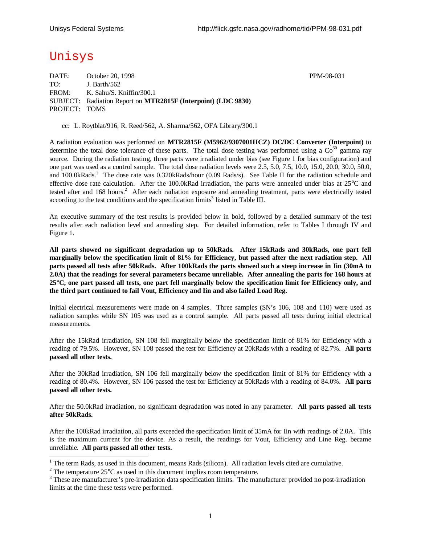# Unisys

l

DATE: October 20, 1998 **PPM-98-031** TO: J. Barth/562 FROM: K. Sahu/S. Kniffin/300.1 SUBJECT: Radiation Report on **MTR2815F (Interpoint) (LDC 9830)** PROJECT: TOMS

cc: L. Roytblat/916, R. Reed/562, A. Sharma/562, OFA Library/300.1

A radiation evaluation was performed on **MTR2815F (M5962/9307001HCZ) DC/DC Converter (Interpoint)** to determine the total dose tolerance of these parts. The total dose testing was performed using a  $Co<sup>60</sup>$  gamma ray source. During the radiation testing, three parts were irradiated under bias (see Figure 1 for bias configuration) and one part was used as a control sample. The total dose radiation levels were 2.5, 5.0, 7.5, 10.0, 15.0, 20.0, 30.0, 50.0, and 100.0kRads.<sup>1</sup> The dose rate was 0.320kRads/hour (0.09 Rads/s). See Table II for the radiation schedule and effective dose rate calculation. After the 100.0kRad irradiation, the parts were annealed under bias at 25°C and tested after and 168 hours.<sup>2</sup> After each radiation exposure and annealing treatment, parts were electrically tested according to the test conditions and the specification limits<sup>3</sup> listed in Table III.

An executive summary of the test results is provided below in bold, followed by a detailed summary of the test results after each radiation level and annealing step. For detailed information, refer to Tables I through IV and Figure 1.

**All parts showed no significant degradation up to 50kRads. After 15kRads and 30kRads, one part fell marginally below the specification limit of 81% for Efficiency, but passed after the next radiation step. All parts passed all tests after 50kRads. After 100kRads the parts showed such a steep increase in Iin (30mA to 2.0A) that the readings for several parameters became unreliable. After annealing the parts for 168 hours at 25°C, one part passed all tests, one part fell marginally below the specification limit for Efficiency only, and the third part continued to fail Vout, Efficiency and Iin and also failed Load Reg.**

Initial electrical measurements were made on 4 samples. Three samples (SN's 106, 108 and 110) were used as radiation samples while SN 105 was used as a control sample. All parts passed all tests during initial electrical measurements.

After the 15kRad irradiation, SN 108 fell marginally below the specification limit of 81% for Efficiency with a reading of 79.5%. However, SN 108 passed the test for Efficiency at 20kRads with a reading of 82.7%. **All parts passed all other tests.**

After the 30kRad irradiation, SN 106 fell marginally below the specification limit of 81% for Efficiency with a reading of 80.4%. However, SN 106 passed the test for Efficiency at 50kRads with a reading of 84.0%. **All parts passed all other tests.**

After the 50.0kRad irradiation, no significant degradation was noted in any parameter. **All parts passed all tests after 50kRads.**

After the 100kRad irradiation, all parts exceeded the specification limit of 35mA for Iin with readings of 2.0A. This is the maximum current for the device. As a result, the readings for Vout, Efficiency and Line Reg. became unreliable. **All parts passed all other tests.**

 $1$  The term Rads, as used in this document, means Rads (silicon). All radiation levels cited are cumulative.

<sup>&</sup>lt;sup>2</sup> The temperature  $25^{\circ}$ C as used in this document implies room temperature.

 $3$  These are manufacturer's pre-irradiation data specification limits. The manufacturer provided no post-irradiation limits at the time these tests were performed.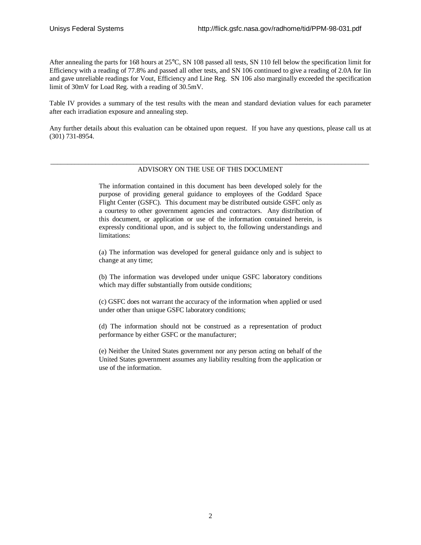After annealing the parts for 168 hours at 25°C, SN 108 passed all tests, SN 110 fell below the specification limit for Efficiency with a reading of 77.8% and passed all other tests, and SN 106 continued to give a reading of 2.0A for Iin and gave unreliable readings for Vout, Efficiency and Line Reg. SN 106 also marginally exceeded the specification limit of 30mV for Load Reg. with a reading of 30.5mV.

Table IV provides a summary of the test results with the mean and standard deviation values for each parameter after each irradiation exposure and annealing step.

Any further details about this evaluation can be obtained upon request. If you have any questions, please call us at (301) 731-8954.

#### \_\_\_\_\_\_\_\_\_\_\_\_\_\_\_\_\_\_\_\_\_\_\_\_\_\_\_\_\_\_\_\_\_\_\_\_\_\_\_\_\_\_\_\_\_\_\_\_\_\_\_\_\_\_\_\_\_\_\_\_\_\_\_\_\_\_\_\_\_\_\_\_\_\_\_\_\_\_\_\_\_\_\_\_\_\_\_\_\_\_\_\_ ADVISORY ON THE USE OF THIS DOCUMENT

The information contained in this document has been developed solely for the purpose of providing general guidance to employees of the Goddard Space Flight Center (GSFC). This document may be distributed outside GSFC only as a courtesy to other government agencies and contractors. Any distribution of this document, or application or use of the information contained herein, is expressly conditional upon, and is subject to, the following understandings and limitations:

(a) The information was developed for general guidance only and is subject to change at any time;

(b) The information was developed under unique GSFC laboratory conditions which may differ substantially from outside conditions;

(c) GSFC does not warrant the accuracy of the information when applied or used under other than unique GSFC laboratory conditions;

(d) The information should not be construed as a representation of product performance by either GSFC or the manufacturer;

(e) Neither the United States government nor any person acting on behalf of the United States government assumes any liability resulting from the application or use of the information.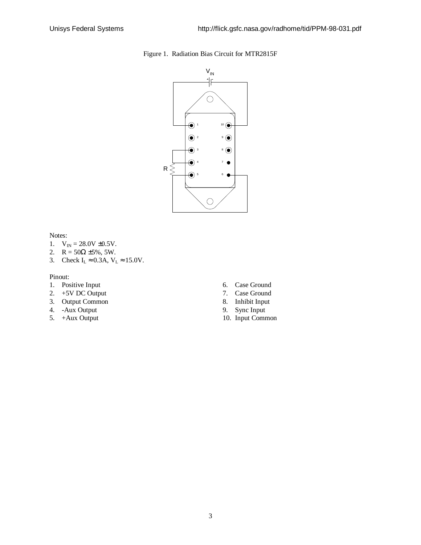

Figure 1. Radiation Bias Circuit for MTR2815F

Notes:

- 1.  $V_{IN} = 28.0V \pm 0.5V$ .
- 2.  $R = 50\Omega \pm 5\%, 5W$ .
- 3. Check  $I_L \approx 0.3$ A,  $V_L \approx 15.0$ V.

#### Pinout:

- 1. Positive Input
- 2. +5V DC Output
- 3. Output Common
- 4. -Aux Output
- 5. +Aux Output
- 6. Case Ground
- 7. Case Ground
- 8. Inhibit Input
- 9. Sync Input
- 10. Input Common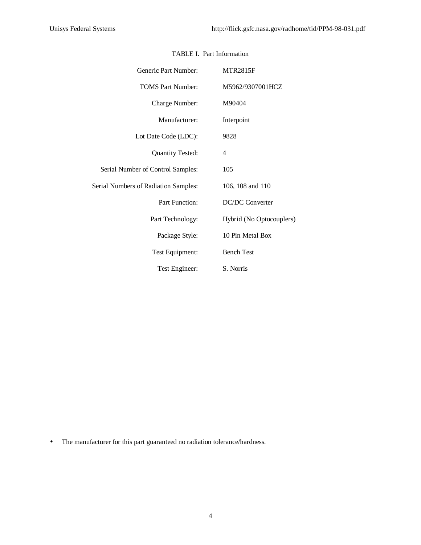| Generic Part Number:                 | <b>MTR2815F</b>          |
|--------------------------------------|--------------------------|
| <b>TOMS Part Number:</b>             | M5962/9307001HCZ         |
| Charge Number:                       | M90404                   |
| Manufacturer:                        | Interpoint               |
| Lot Date Code (LDC):                 | 9828                     |
| <b>Quantity Tested:</b>              | 4                        |
| Serial Number of Control Samples:    | 105                      |
| Serial Numbers of Radiation Samples: | 106, 108 and 110         |
| Part Function:                       | <b>DC/DC</b> Converter   |
| Part Technology:                     | Hybrid (No Optocouplers) |
| Package Style:                       | 10 Pin Metal Box         |
| Test Equipment:                      | <b>Bench Test</b>        |
| Test Engineer:                       | S. Norris                |

### TABLE I. Part Information

• The manufacturer for this part guaranteed no radiation tolerance/hardness.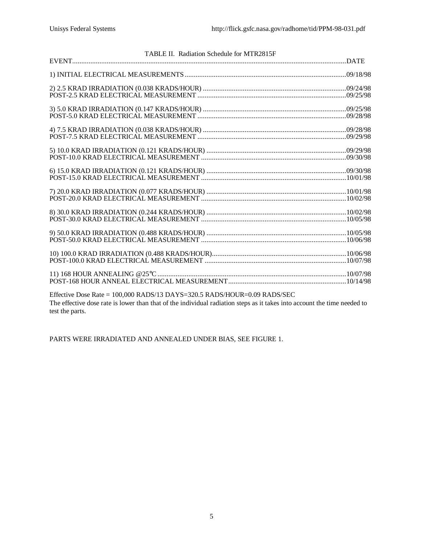| TABLE II. Radiation Schedule for MTR2815F                                                                                                                                                                                                   |  |
|---------------------------------------------------------------------------------------------------------------------------------------------------------------------------------------------------------------------------------------------|--|
|                                                                                                                                                                                                                                             |  |
|                                                                                                                                                                                                                                             |  |
|                                                                                                                                                                                                                                             |  |
| $4) 7.5 \, KRAD \, IRRADIATION \, (0.038 \, KRADS/HOUR) \, 4) 7.5 \, KRAD \, IRRADIS (0.038 \, KRADS/HOUR) \, 5) 109/28/98 \, POST-7.5 \, KRAD \, ELECTRICAL \, MEASUREMENT \, 4) 6087-7.5 \, KRAD \, ELECTRICAL \, MEASUREMENT \, 4) 7.61$ |  |
|                                                                                                                                                                                                                                             |  |
|                                                                                                                                                                                                                                             |  |
|                                                                                                                                                                                                                                             |  |
|                                                                                                                                                                                                                                             |  |
|                                                                                                                                                                                                                                             |  |
|                                                                                                                                                                                                                                             |  |
|                                                                                                                                                                                                                                             |  |
|                                                                                                                                                                                                                                             |  |
| Effective Dose Rate = 100 000 RADS/13 DAYS=320 5 RADS/HOUR=0 09 RADS/SEC                                                                                                                                                                    |  |

Effective Dose Rate = 100,000 RADS/13 DAYS=320.5 RADS/HOUR=0.09 RADS/SEC The effective dose rate is lower than that of the individual radiation steps as it takes into account the time needed to test the parts.

PARTS WERE IRRADIATED AND ANNEALED UNDER BIAS, SEE FIGURE 1.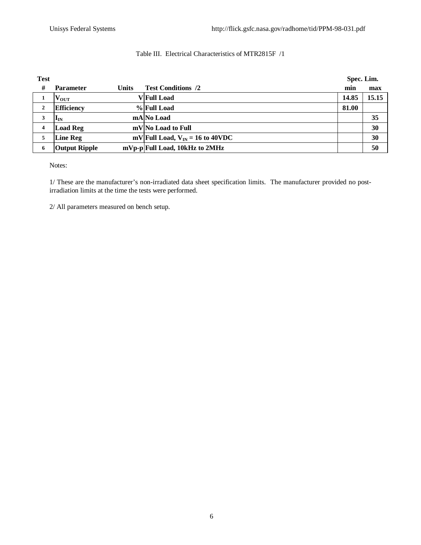## Table III. Electrical Characteristics of MTR2815F /1

| <b>Test</b> |                        |              |                                      | Spec. Lim. |       |  |
|-------------|------------------------|--------------|--------------------------------------|------------|-------|--|
| #           | <b>Parameter</b>       | <b>Units</b> | <b>Test Conditions /2</b>            | min        | max   |  |
| 1           | $\mathbf{V_{OUT}}$     |              | <b>V</b> Full Load                   | 14.85      | 15.15 |  |
| 2           | <b>Efficiency</b>      |              | % Full Load                          | 81.00      |       |  |
| 3           | $\mathbf{l}_\text{IN}$ |              | mA No Load                           |            | 35    |  |
| 4           | <b>Load Reg</b>        |              | mV No Load to Full                   |            | 30    |  |
| 5           | <b>Line Reg</b>        |              | mV Full Load, $V_{IN} = 16$ to 40VDC |            | 30    |  |
| 6           | <b>Output Ripple</b>   |              | mVp-p Full Load, 10kHz to 2MHz       |            | 50    |  |

Notes:

1/ These are the manufacturer's non-irradiated data sheet specification limits. The manufacturer provided no postirradiation limits at the time the tests were performed.

2/ All parameters measured on bench setup.